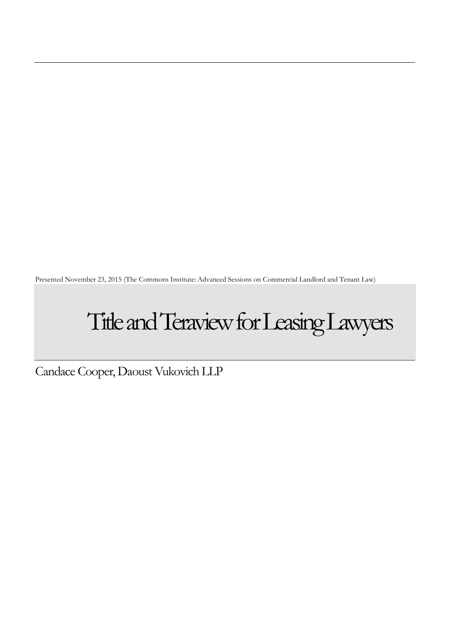Presented November 23, 2015 (The Commons Institute: Advanced Sessions on Commercial Landlord and Tenant Law)

# Title and Teraview for Leasing Lawyers

Candace Cooper, Daoust Vukovich LLP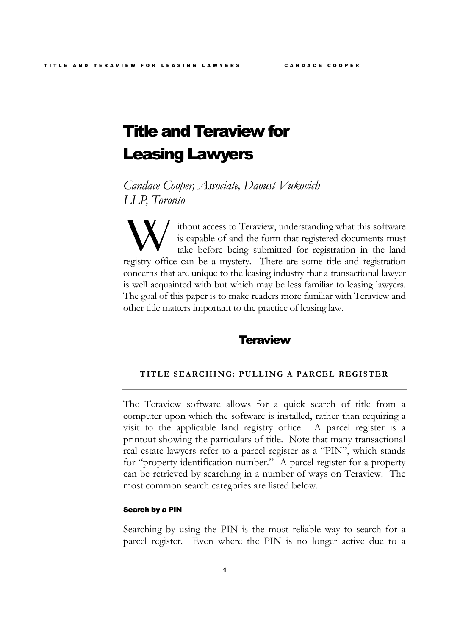# Title and Teraview for Leasing Lawyers

*Candace Cooper, Associate, Daoust Vukovich LLP, Toronto*

ithout access to Teraview, understanding what this software is capable of and the form that registered documents must take before being submitted for registration in the land **Registry** office can be a mystery. There are some title and registration in the land registry office can be a mystery. There are some title and registration concerns that are unique to the leasing industry that a transactional lawyer is well acquainted with but which may be less familiar to leasing lawyers. The goal of this paper is to make readers more familiar with Teraview and other title matters important to the practice of leasing law.

# **Teraview**

# **TITLE SEARCHING: PULLING A PARCEL REGISTER**

The Teraview software allows for a quick search of title from a computer upon which the software is installed, rather than requiring a visit to the applicable land registry office. A parcel register is a printout showing the particulars of title. Note that many transactional real estate lawyers refer to a parcel register as a "PIN", which stands for "property identification number." A parcel register for a property can be retrieved by searching in a number of ways on Teraview. The most common search categories are listed below.

#### Search by a PIN

Searching by using the PIN is the most reliable way to search for a parcel register. Even where the PIN is no longer active due to a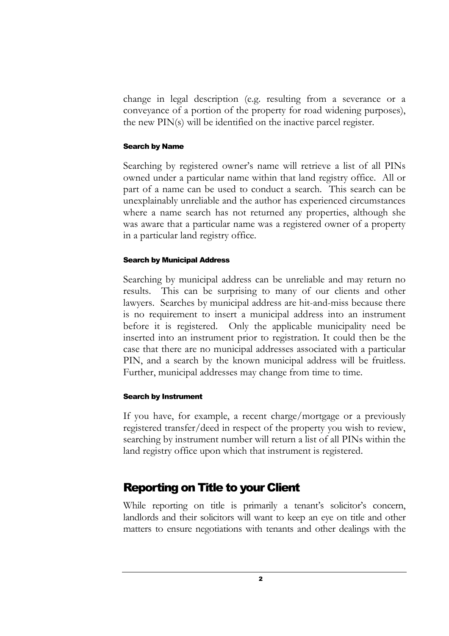change in legal description (e.g. resulting from a severance or a conveyance of a portion of the property for road widening purposes), the new PIN(s) will be identified on the inactive parcel register.

# Search by Name

Searching by registered owner's name will retrieve a list of all PINs owned under a particular name within that land registry office. All or part of a name can be used to conduct a search. This search can be unexplainably unreliable and the author has experienced circumstances where a name search has not returned any properties, although she was aware that a particular name was a registered owner of a property in a particular land registry office.

# Search by Municipal Address

Searching by municipal address can be unreliable and may return no results. This can be surprising to many of our clients and other lawyers. Searches by municipal address are hit-and-miss because there is no requirement to insert a municipal address into an instrument before it is registered. Only the applicable municipality need be inserted into an instrument prior to registration. It could then be the case that there are no municipal addresses associated with a particular PIN, and a search by the known municipal address will be fruitless. Further, municipal addresses may change from time to time.

# Search by Instrument

If you have, for example, a recent charge/mortgage or a previously registered transfer/deed in respect of the property you wish to review, searching by instrument number will return a list of all PINs within the land registry office upon which that instrument is registered.

# Reporting on Title to your Client

While reporting on title is primarily a tenant's solicitor's concern, landlords and their solicitors will want to keep an eye on title and other matters to ensure negotiations with tenants and other dealings with the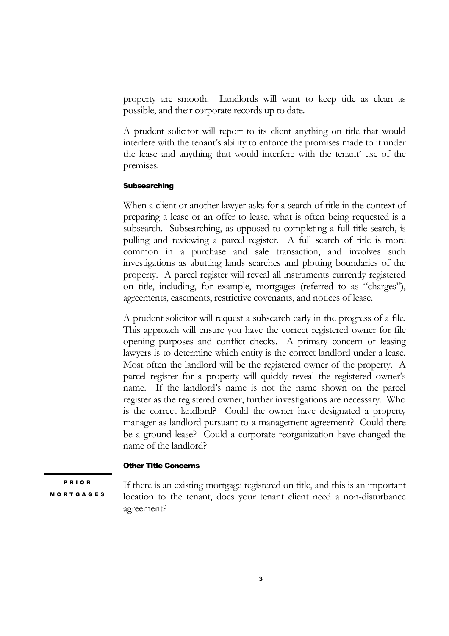property are smooth. Landlords will want to keep title as clean as possible, and their corporate records up to date.

A prudent solicitor will report to its client anything on title that would interfere with the tenant's ability to enforce the promises made to it under the lease and anything that would interfere with the tenant' use of the premises.

# **Subsearching**

When a client or another lawyer asks for a search of title in the context of preparing a lease or an offer to lease, what is often being requested is a subsearch. Subsearching, as opposed to completing a full title search, is pulling and reviewing a parcel register. A full search of title is more common in a purchase and sale transaction, and involves such investigations as abutting lands searches and plotting boundaries of the property. A parcel register will reveal all instruments currently registered on title, including, for example, mortgages (referred to as "charges"), agreements, easements, restrictive covenants, and notices of lease.

A prudent solicitor will request a subsearch early in the progress of a file. This approach will ensure you have the correct registered owner for file opening purposes and conflict checks. A primary concern of leasing lawyers is to determine which entity is the correct landlord under a lease. Most often the landlord will be the registered owner of the property. A parcel register for a property will quickly reveal the registered owner's name. If the landlord's name is not the name shown on the parcel register as the registered owner, further investigations are necessary. Who is the correct landlord? Could the owner have designated a property manager as landlord pursuant to a management agreement? Could there be a ground lease? Could a corporate reorganization have changed the name of the landlord?

# Other Title Concerns

P R I O R **MORTGAGES** 

If there is an existing mortgage registered on title, and this is an important location to the tenant, does your tenant client need a non-disturbance agreement?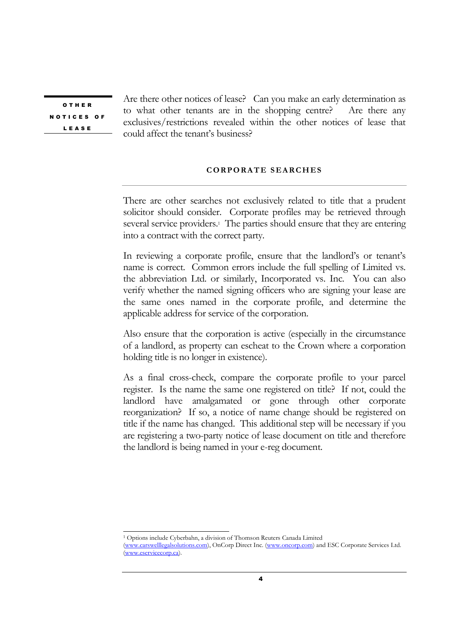O T H E R N O T I C E S O F L E A S E

Are there other notices of lease? Can you make an early determination as to what other tenants are in the shopping centre? Are there any exclusives/restrictions revealed within the other notices of lease that could affect the tenant's business?

# **CORPORATE SEARCHES**

There are other searches not exclusively related to title that a prudent solicitor should consider. Corporate profiles may be retrieved through several service providers.<sup>1</sup> The parties should ensure that they are entering into a contract with the correct party.

In reviewing a corporate profile, ensure that the landlord's or tenant's name is correct. Common errors include the full spelling of Limited vs. the abbreviation Ltd. or similarly, Incorporated vs. Inc. You can also verify whether the named signing officers who are signing your lease are the same ones named in the corporate profile, and determine the applicable address for service of the corporation.

Also ensure that the corporation is active (especially in the circumstance of a landlord, as property can escheat to the Crown where a corporation holding title is no longer in existence).

As a final cross-check, compare the corporate profile to your parcel register. Is the name the same one registered on title? If not, could the landlord have amalgamated or gone through other corporate reorganization? If so, a notice of name change should be registered on title if the name has changed. This additional step will be necessary if you are registering a two-party notice of lease document on title and therefore the landlord is being named in your e-reg document.

<sup>1</sup> Options include Cyberbahn, a division of Thomson Reuters Canada Limited (www.carswelllegalsolutions.com), OnCorp Direct Inc. (www.oncorp.com) and ESC Corporate Services Ltd. (www.eservicecorp.ca).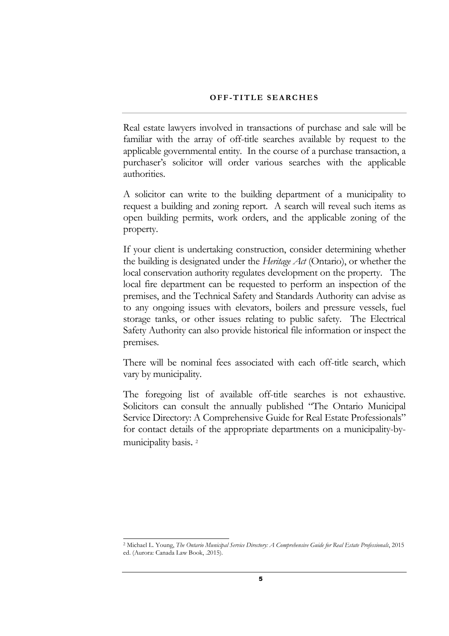#### **OFF-TITLE SEARCHES**

Real estate lawyers involved in transactions of purchase and sale will be familiar with the array of off-title searches available by request to the applicable governmental entity. In the course of a purchase transaction, a purchaser's solicitor will order various searches with the applicable authorities.

A solicitor can write to the building department of a municipality to request a building and zoning report. A search will reveal such items as open building permits, work orders, and the applicable zoning of the property.

If your client is undertaking construction, consider determining whether the building is designated under the *Heritage Act* (Ontario), or whether the local conservation authority regulates development on the property. The local fire department can be requested to perform an inspection of the premises, and the Technical Safety and Standards Authority can advise as to any ongoing issues with elevators, boilers and pressure vessels, fuel storage tanks, or other issues relating to public safety. The Electrical Safety Authority can also provide historical file information or inspect the premises.

There will be nominal fees associated with each off-title search, which vary by municipality.

The foregoing list of available off-title searches is not exhaustive. Solicitors can consult the annually published "The Ontario Municipal Service Directory: A Comprehensive Guide for Real Estate Professionals" for contact details of the appropriate departments on a municipality-bymunicipality basis. 2

<sup>2</sup> Michael L. Young, *The Ontario Municipal Service Directory: A Comprehensive Guide for Real Estate Professionals*, 2015 ed. (Aurora: Canada Law Book, .2015).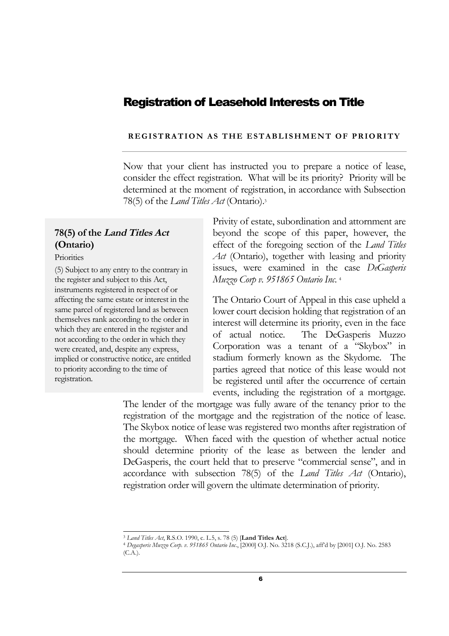# Registration of Leasehold Interests on Title

# **REGISTRATION AS THE ESTABLISHMENT OF PRIORITY**

Now that your client has instructed you to prepare a notice of lease, consider the effect registration. What will be its priority? Priority will be determined at the moment of registration, in accordance with Subsection 78(5) of the *Land Titles Act* (Ontario).<sup>3</sup>

# **78(5) of the Land Titles Act (Ontario)**

**Priorities** 

(5) Subject to any entry to the contrary in the register and subject to this Act, instruments registered in respect of or affecting the same estate or interest in the same parcel of registered land as between themselves rank according to the order in which they are entered in the register and not according to the order in which they were created, and, despite any express, implied or constructive notice, are entitled to priority according to the time of registration.

Privity of estate, subordination and attornment are beyond the scope of this paper, however, the effect of the foregoing section of the *Land Titles Act* (Ontario), together with leasing and priority issues, were examined in the case *DeGasperis Muzzo Corp v. 951865 Ontario Inc*. 4

The Ontario Court of Appeal in this case upheld a lower court decision holding that registration of an interest will determine its priority, even in the face of actual notice. The DeGasperis Muzzo Corporation was a tenant of a "Skybox" in stadium formerly known as the Skydome. The parties agreed that notice of this lease would not be registered until after the occurrence of certain events, including the registration of a mortgage.

The lender of the mortgage was fully aware of the tenancy prior to the registration of the mortgage and the registration of the notice of lease. The Skybox notice of lease was registered two months after registration of the mortgage. When faced with the question of whether actual notice should determine priority of the lease as between the lender and DeGasperis, the court held that to preserve "commercial sense", and in accordance with subsection 78(5) of the *Land Titles Act* (Ontario), registration order will govern the ultimate determination of priority.

<sup>3</sup> *Land Titles Act*, R.S.O. 1990, c. L.5, s. 78 (5) [**Land Titles Act**].

<sup>4</sup> *Degasperis Muzzo Corp. v. 951865 Ontario Inc*., [2000] O.J. No. 3218 (S.C.J.), aff'd by [2001] O.J. No. 2583 (C.A.).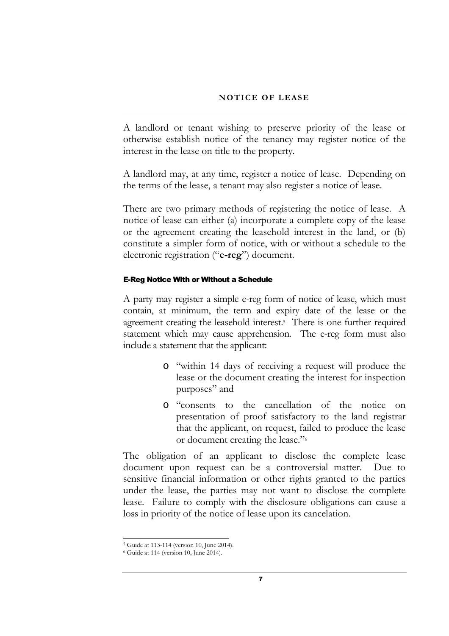#### **NOTICE OF LEASE**

A landlord or tenant wishing to preserve priority of the lease or otherwise establish notice of the tenancy may register notice of the interest in the lease on title to the property.

A landlord may, at any time, register a notice of lease. Depending on the terms of the lease, a tenant may also register a notice of lease.

There are two primary methods of registering the notice of lease. A notice of lease can either (a) incorporate a complete copy of the lease or the agreement creating the leasehold interest in the land, or (b) constitute a simpler form of notice, with or without a schedule to the electronic registration ("**e-reg**") document.

#### E-Reg Notice With or Without a Schedule

A party may register a simple e-reg form of notice of lease, which must contain, at minimum, the term and expiry date of the lease or the agreement creating the leasehold interest.<sup>5</sup> There is one further required statement which may cause apprehension. The e-reg form must also include a statement that the applicant:

- o "within 14 days of receiving a request will produce the lease or the document creating the interest for inspection purposes" and
- o "consents to the cancellation of the notice on presentation of proof satisfactory to the land registrar that the applicant, on request, failed to produce the lease or document creating the lease."<sup>6</sup>

The obligation of an applicant to disclose the complete lease document upon request can be a controversial matter. Due to sensitive financial information or other rights granted to the parties under the lease, the parties may not want to disclose the complete lease. Failure to comply with the disclosure obligations can cause a loss in priority of the notice of lease upon its cancelation.

<sup>5</sup> Guide at 113-114 (version 10, June 2014).

<sup>6</sup> Guide at 114 (version 10, June 2014).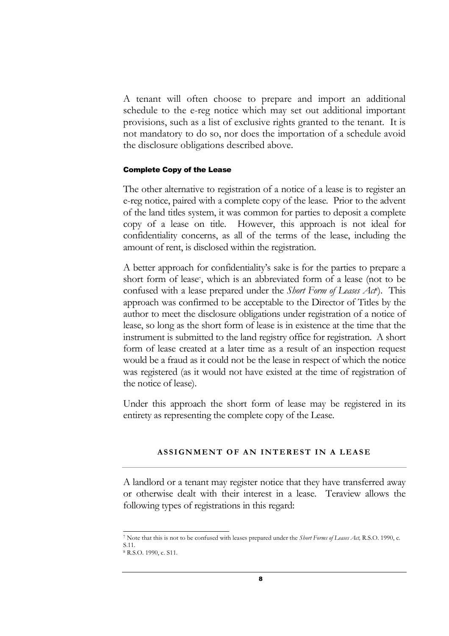A tenant will often choose to prepare and import an additional schedule to the e-reg notice which may set out additional important provisions, such as a list of exclusive rights granted to the tenant. It is not mandatory to do so, nor does the importation of a schedule avoid the disclosure obligations described above.

## Complete Copy of the Lease

The other alternative to registration of a notice of a lease is to register an e-reg notice, paired with a complete copy of the lease. Prior to the advent of the land titles system, it was common for parties to deposit a complete copy of a lease on title. However, this approach is not ideal for confidentiality concerns, as all of the terms of the lease, including the amount of rent, is disclosed within the registration.

A better approach for confidentiality's sake is for the parties to prepare a short form of lease<sup>7</sup> , which is an abbreviated form of a lease (not to be confused with a lease prepared under the *Short Form of Leases Act<sup>8</sup>* ). This approach was confirmed to be acceptable to the Director of Titles by the author to meet the disclosure obligations under registration of a notice of lease, so long as the short form of lease is in existence at the time that the instrument is submitted to the land registry office for registration. A short form of lease created at a later time as a result of an inspection request would be a fraud as it could not be the lease in respect of which the notice was registered (as it would not have existed at the time of registration of the notice of lease).

Under this approach the short form of lease may be registered in its entirety as representing the complete copy of the Lease.

# **ASSIGNMENT OF AN INTEREST IN A LEASE**

A landlord or a tenant may register notice that they have transferred away or otherwise dealt with their interest in a lease. Teraview allows the following types of registrations in this regard:

<sup>7</sup> Note that this is not to be confused with leases prepared under the *Short Forms of Leases Act,* R.S.O. 1990, c. S.11. <sup>8</sup> R.S.O. 1990, c. S11.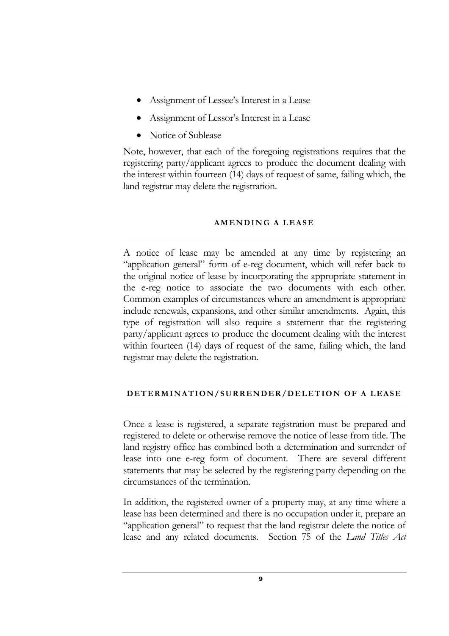- Assignment of Lessee's Interest in a Lease
- Assignment of Lessor's Interest in a Lease
- Notice of Sublease

Note, however, that each of the foregoing registrations requires that the registering party/applicant agrees to produce the document dealing with the interest within fourteen (14) days of request of same, failing which, the land registrar may delete the registration.

# **A M E N D I N G A L E A S E**

A notice of lease may be amended at any time by registering an "application general" form of e-reg document, which will refer back to the original notice of lease by incorporating the appropriate statement in the e-reg notice to associate the two documents with each other. Common examples of circumstances where an amendment is appropriate include renewals, expansions, and other similar amendments. Again, this type of registration will also require a statement that the registering party/applicant agrees to produce the document dealing with the interest within fourteen (14) days of request of the same, failing which, the land registrar may delete the registration.

# **DETERMINATION/SURRENDER/DELETION OF A LEASE**

Once a lease is registered, a separate registration must be prepared and registered to delete or otherwise remove the notice of lease from title. The land registry office has combined both a determination and surrender of lease into one e-reg form of document. There are several different statements that may be selected by the registering party depending on the circumstances of the termination.

In addition, the registered owner of a property may, at any time where a lease has been determined and there is no occupation under it, prepare an "application general" to request that the land registrar delete the notice of lease and any related documents. Section 75 of the *Land Titles Act*

9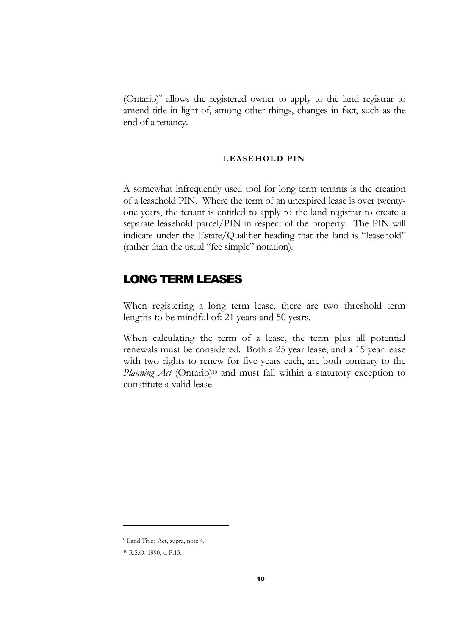(Ontario)<sup>9</sup> allows the registered owner to apply to the land registrar to amend title in light of, among other things, changes in fact, such as the end of a tenancy.

# LEASEHOLD PIN

A somewhat infrequently used tool for long term tenants is the creation of a leasehold PIN. Where the term of an unexpired lease is over twentyone years, the tenant is entitled to apply to the land registrar to create a separate leasehold parcel/PIN in respect of the property. The PIN will indicate under the Estate/Qualifier heading that the land is "leasehold" (rather than the usual "fee simple" notation).

# LONG TERM LEASES

When registering a long term lease, there are two threshold term lengths to be mindful of: 21 years and 50 years.

When calculating the term of a lease, the term plus all potential renewals must be considered. Both a 25 year lease, and a 15 year lease with two rights to renew for five years each, are both contrary to the *Planning Act* (Ontario)<sup>10</sup> and must fall within a statutory exception to constitute a valid lease.

<sup>9</sup> Land Titles Act, supra, note 4.

<sup>10</sup> R.S.O. 1990, c. P.13.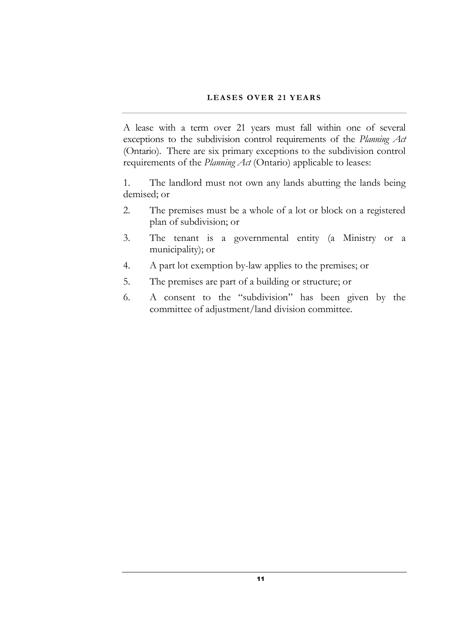# LEASES OVER 21 YEARS

A lease with a term over 21 years must fall within one of several exceptions to the subdivision control requirements of the *Planning Act* (Ontario). There are six primary exceptions to the subdivision control requirements of the *Planning Act* (Ontario) applicable to leases:

1. The landlord must not own any lands abutting the lands being demised; or

- 2. The premises must be a whole of a lot or block on a registered plan of subdivision; or
- 3. The tenant is a governmental entity (a Ministry or a municipality); or
- 4. A part lot exemption by-law applies to the premises; or
- 5. The premises are part of a building or structure; or
- 6. A consent to the "subdivision" has been given by the committee of adjustment/land division committee.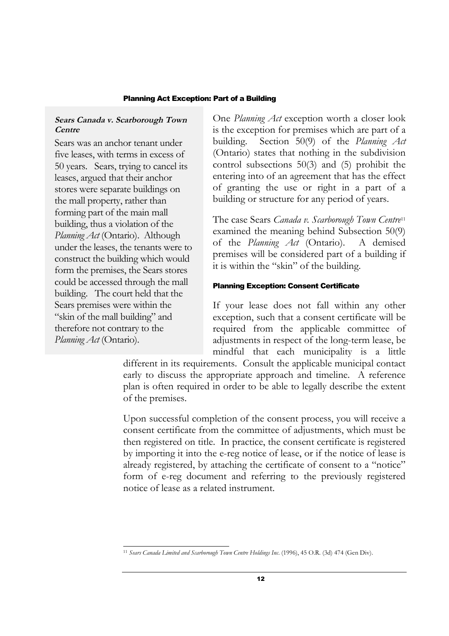# Planning Act Exception: Part of a Building

# **Sears Canada v. Scarborough Town Centre**

Sears was an anchor tenant under five leases, with terms in excess of 50 years. Sears, trying to cancel its leases, argued that their anchor stores were separate buildings on the mall property, rather than forming part of the main mall building, thus a violation of the *Planning Act* (Ontario). Although under the leases, the tenants were to construct the building which would form the premises, the Sears stores could be accessed through the mall building. The court held that the Sears premises were within the "skin of the mall building" and therefore not contrary to the *Planning Act* (Ontario).

One *Planning Act* exception worth a closer look is the exception for premises which are part of a building. Section 50(9) of the *Planning Act* (Ontario) states that nothing in the subdivision control subsections 50(3) and (5) prohibit the entering into of an agreement that has the effect of granting the use or right in a part of a building or structure for any period of years.

The case Sears *Canada v. Scarborough Town Centre*<sup>11</sup> examined the meaning behind Subsection 50(9) of the *Planning Act* (Ontario). A demised premises will be considered part of a building if it is within the "skin" of the building.

# Planning Exception: Consent Certificate

If your lease does not fall within any other exception, such that a consent certificate will be required from the applicable committee of adjustments in respect of the long-term lease, be mindful that each municipality is a little

different in its requirements. Consult the applicable municipal contact early to discuss the appropriate approach and timeline. A reference plan is often required in order to be able to legally describe the extent of the premises.

Upon successful completion of the consent process, you will receive a consent certificate from the committee of adjustments, which must be then registered on title. In practice, the consent certificate is registered by importing it into the e-reg notice of lease, or if the notice of lease is already registered, by attaching the certificate of consent to a "notice" form of e-reg document and referring to the previously registered notice of lease as a related instrument.

<sup>11</sup> *Sears Canada Limited and Scarborough Town Centre Holdings Inc*. (1996), 45 O.R. (3d) 474 (Gen Div).